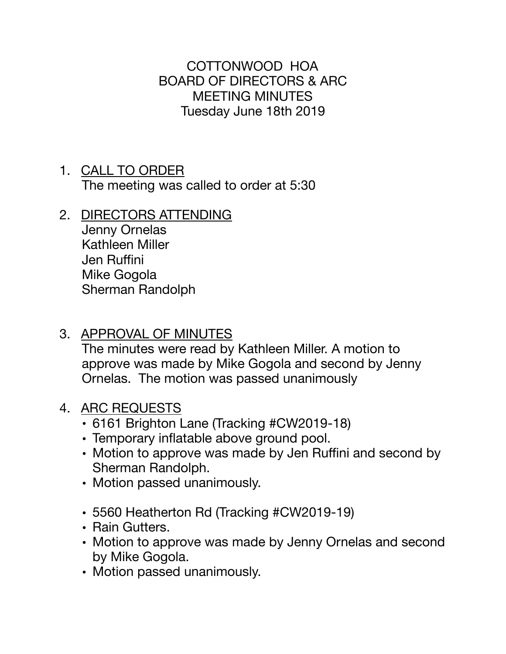COTTONWOOD HOA BOARD OF DIRECTORS & ARC MEETING MINUTES Tuesday June 18th 2019

- 1. CALL TO ORDER The meeting was called to order at 5:30
- 2. DIRECTORS ATTENDING Jenny Ornelas Kathleen Miller Jen Ruffini Mike Gogola Sherman Randolph
- 3. APPROVAL OF MINUTES

The minutes were read by Kathleen Miller. A motion to approve was made by Mike Gogola and second by Jenny Ornelas. The motion was passed unanimously

## 4. ARC REQUESTS

- 6161 Brighton Lane (Tracking #CW2019-18)
- Temporary inflatable above ground pool.
- Motion to approve was made by Jen Ruffini and second by Sherman Randolph.
- Motion passed unanimously.
- 5560 Heatherton Rd (Tracking #CW2019-19)
- Rain Gutters.
- Motion to approve was made by Jenny Ornelas and second by Mike Gogola.
- Motion passed unanimously.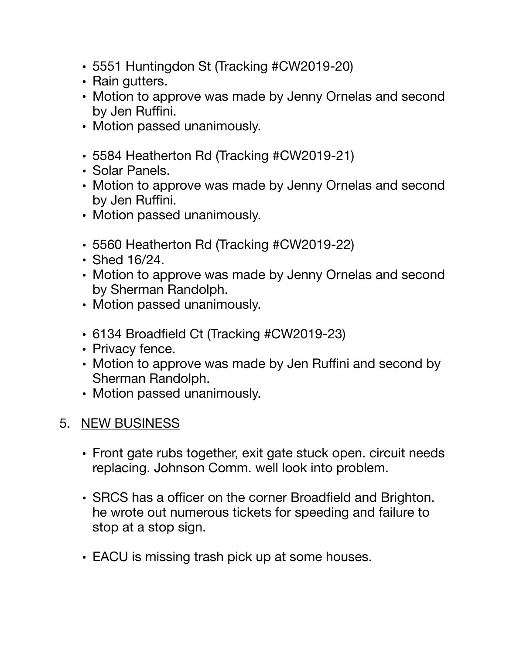- 5551 Huntingdon St (Tracking #CW2019-20)
- Rain gutters.
- Motion to approve was made by Jenny Ornelas and second by Jen Ruffini.
- Motion passed unanimously.
- 5584 Heatherton Rd (Tracking #CW2019-21)
- Solar Panels.
- Motion to approve was made by Jenny Ornelas and second by Jen Ruffini.
- Motion passed unanimously.
- 5560 Heatherton Rd (Tracking #CW2019-22)
- Shed 16/24.
- Motion to approve was made by Jenny Ornelas and second by Sherman Randolph.
- Motion passed unanimously.
- 6134 Broadfield Ct (Tracking #CW2019-23)
- Privacy fence.
- Motion to approve was made by Jen Ruffini and second by Sherman Randolph.
- Motion passed unanimously.

## 5. NEW BUSINESS

- Front gate rubs together, exit gate stuck open. circuit needs replacing. Johnson Comm. well look into problem.
- SRCS has a officer on the corner Broadfield and Brighton. he wrote out numerous tickets for speeding and failure to stop at a stop sign.
- EACU is missing trash pick up at some houses.